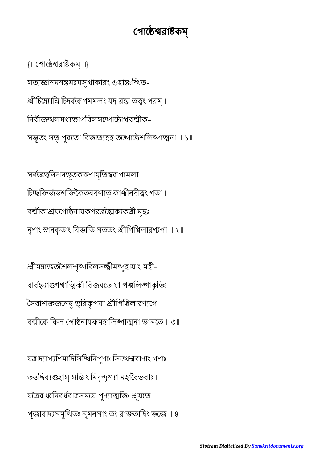যত্রাদ্যাপ্যণিমাদিসিদ্ধিনিপুণাঃ সিদ্ধেশ্বরাণাং গণাঃ তত্তদিব্যগুহাসু সম্ভি যমিদৃন্দৃশ্যা মহাবৈভবাঃ। যত্রৈব ধ্বনিরর্ধরাত্রসমযে পুণ্যাত্মভিঃ শ্রূযতে পূজাবাদসমুিতঃ সুমনসাং তং রাজতািং ভেজ ॥ ৪॥

শ্ৰীমদ্ৰাজতশৈলশৃঙ্গবিলসচ্ছীমদ্গৃহাযাং মহী-বার্বহ্ন্যাশুগখাত্মিকী বিজযতে যা পঞ্চলিঙ্গাকৃতিঃ। দৈবাশক্তজনেষু ভূরিকৃপযা শ্রীপিপ্পিলারণ্যগে বল্মীকে কিল গোষ্ঠনাযকমহালিঙ্গাত্মনা ভাসতে ॥ ৩॥

সর্বজ্ঞত্বনিদানভূতকরুণামূতিস্বরূপামলা চিচ্ছক্তিৰ্জডশক্তিকৈতববশাত কাঞ্চীনদীত্বং গতা। বল্মীকাশ্রযগোষ্ঠনাযকপরব্রক্যৈক্যকর্ত্রী মুহুঃ নৃণাং স্নানকৃতাং বিভাতি সততং শ্রীপিপ্পিলারণ্যগা ॥ ২॥

সত্যজ্ঞানমনন্তমদ্বযসুখাকারং গুহান্তঃস্থিত-শ্রীচিদ্ব্যোমি চিদর্করূপমমলং যদ্ ব্রহ্ম তত্ত্বং পরম্। িনবীজলমধভাগিবলসোোবীক-সম্ভূতং সত পুরতো বিভাত্যহহ তন্দোষ্ঠেশলিঙ্গাত্মনা ॥ ১॥

{॥ গােরাকম্ ॥}

## গোষ্ঠেশ্বরাষ্টকম্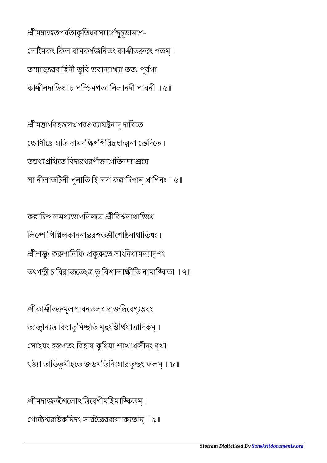শ্ৰীমদ্ৰাজতপৰ্বতাকৃতিধরস্যাৰ্ধেন্দচূডামণে-লোমৈকং কিল বামকৰ্ণজনিতং কাঞ্ছীতৰুত্বং গতম। তম্মাহত্তরবাহিনী ভূবি ভবান্যাখ্যা ততঃ পূর্বগা কাঞ্চীনদাভিধা চ পশ্চিমগতা নিলানদী পাবনী ॥ ৫॥

শ্রীমদ্ভার্গবহস্তলগ্নপরশুব্যাঘট্টনাদ্ দারিতে ক্ষোণীগ্রে সতি বামদক্ষিণগিরিদ্বন্বাত্মনা ভেদিতে। তনাধাপ্রথিতে বিদারধরণীভাগেতিনদাশ্রয়ে সা নীলাতটিনী পুনাতি হি সদা কল্পাদিগান্ প্ৰাণিনঃ ॥ ৬॥

কল্পাদিশ্থলমধ্যভাগনিলযে শ্ৰীবিশ্বনাথাভিধে লিঙ্গে পিপ্পিলকাননান্তরগতশ্রীগোষ্ঠনাথাভিধঃ । ীশুঃ কণািনিধঃ কুেত সাংিনধমনাদৃশং তৎপত্নী চ বিরাজতে২ত্র তু বিশালাক্ষীতি নামাঙ্কিতা ॥ ৭॥

শ্ৰীকাঞ্ছীতরুমূলপাবনতলং ভ্রাজন্নিবেণ্যুদ্ভবং তাজ্বান্যত্র বিধাতুমিচ্ছতি মূহুর্যন্তীর্থযাত্রাদিকম্। সাঽযং হগতং িবহায কুিধযা শাখালীনং বৃথা যষ্ট্যা তাডিতৃমীহতে জডমতিনিঃসারতৃচ্ছং ফলম্ ॥ ৮॥

শ্ৰীমদ্ৰাজতশৈলোখত্ৰিবেণীমহিমাঙ্কিতম্। গােরাকিমদং সারৈরবেলাকতাম্ ॥ ৯॥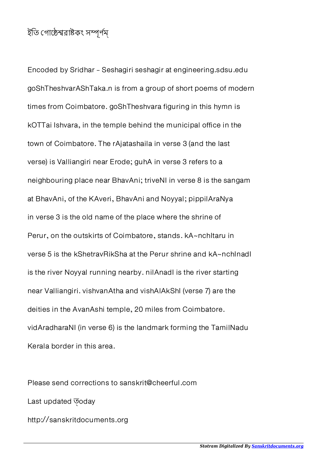## ইতি গােষ্ঠেশ্বরাষ্টকং সম্পূর্ণম্

Encoded by Sridhar - Seshagiri seshagir at engineering.sdsu.edu goShTheshvarAShTaka.n is from a group of short poems of modern times from Coimbatore. goShTheshvara figuring in this hymn is kOTTai Ishvara, in the temple behind the municipal office in the town of Coimbatore. The rAjatashaila in verse 3 (and the last verse) is Valliangiri near Erode; guhA in verse 3 refers to a neighbouring place near BhavAni; triveNI in verse 8 is the sangam at BhavAni, of the KAveri, BhavAni and Noyyal; pippilAraNya in verse 3 is the old name of the place where the shrine of Perur, on the outskirts of Coimbatore, stands. kA~nchitaru in verse 5 is the kShetravRikSha at the Perur shrine and kA~nchInadI is the river Noyyal running nearby. nilAnadI is the river starting near Valliangiri. vishvanAtha and vishAlAkShI (verse 7) are the deities in the AvanAshi temple, 20 miles from Coimbatore. vidAradharaNI (in verse 6) is the landmark forming the TamilNadu Kerala border in this area.

Please send corrections to sanskrit@cheerful.com Last updated  $\overline{\circ}$ oday http://sanskritdocuments.org